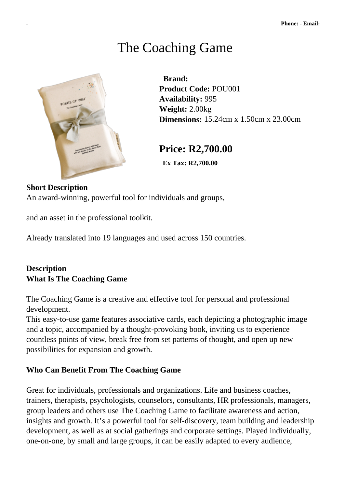# The Coaching Game



 **Brand: Product Code:** POU001 **Availability:** 995 **Weight:** 2.00kg **Dimensions:** 15.24cm x 1.50cm x 23.00cm

# **Price: R2,700.00**

 **Ex Tax: R2,700.00** 

#### **Short Description**

An award-winning, powerful tool for individuals and groups,

and an asset in the professional toolkit.

Already translated into 19 languages and used across 150 countries.

## **Description What Is The Coaching Game**

The Coaching Game is a creative and effective tool for personal and professional development.

This easy-to-use game features associative cards, each depicting a photographic image and a topic, accompanied by a thought-provoking book, inviting us to experience countless points of view, break free from set patterns of thought, and open up new possibilities for expansion and growth.

#### **Who Can Benefit From The Coaching Game**

Great for individuals, professionals and organizations. Life and business coaches, trainers, therapists, psychologists, counselors, consultants, HR professionals, managers, group leaders and others use The Coaching Game to facilitate awareness and action, insights and growth. It's a powerful tool for self-discovery, team building and leadership development, as well as at social gatherings and corporate settings. Played individually, one-on-one, by small and large groups, it can be easily adapted to every audience,